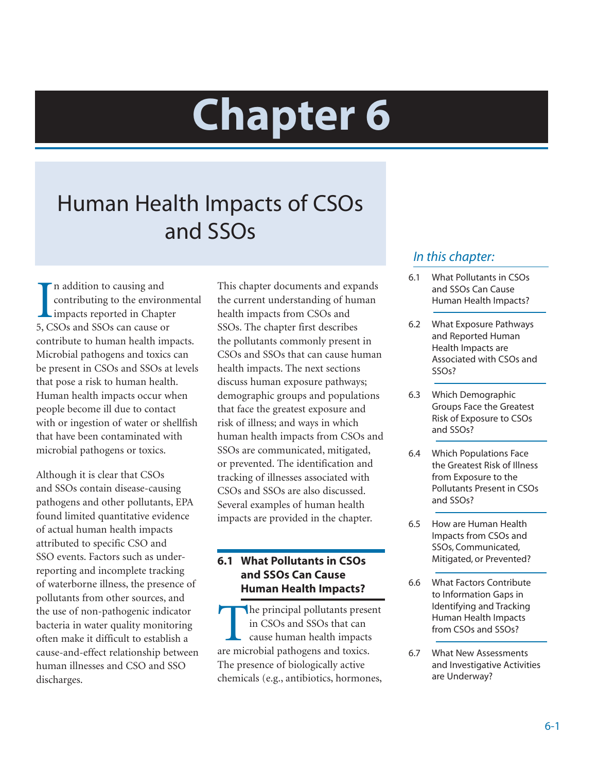# **Chapter 6**

# Human Health Impacts of CSOs and SSOs

In addition to causing and<br>
contributing to the environ<br>
impacts reported in Chapte<br>
5, CSOs and SSOs can cause or n addition to causing and contributing to the environmental impacts reported in Chapter contribute to human health impacts. Microbial pathogens and toxics can be present in CSOs and SSOs at levels that pose a risk to human health. Human health impacts occur when people become ill due to contact with or ingestion of water or shellfish that have been contaminated with microbial pathogens or toxics.

Although it is clear that CSOs and SSOs contain disease-causing pathogens and other pollutants, EPA found limited quantitative evidence of actual human health impacts attributed to specific CSO and SSO events. Factors such as underreporting and incomplete tracking of waterborne illness, the presence of pollutants from other sources, and the use of non-pathogenic indicator bacteria in water quality monitoring often make it difficult to establish a cause-and-effect relationship between human illnesses and CSO and SSO discharges.

This chapter documents and expands the current understanding of human health impacts from CSOs and SSOs. The chapter first describes the pollutants commonly present in CSOs and SSOs that can cause human health impacts. The next sections discuss human exposure pathways; demographic groups and populations that face the greatest exposure and risk of illness; and ways in which human health impacts from CSOs and SSOs are communicated, mitigated, or prevented. The identification and tracking of illnesses associated with CSOs and SSOs are also discussed. Several examples of human health impacts are provided in the chapter.

# **6.1 What Pollutants in CSOs and SSOs Can Cause Human Health Impacts?**

The principal pollutants present in CSOs and SSOs that can cause human health impacts are microbial pathogens and toxics. The presence of biologically active chemicals (e.g., antibiotics, hormones,

# *In this chapter:*

- 6.1 What Pollutants in CSOs and SSOs Can Cause Human Health Impacts?
- 6.2 What Exposure Pathways and Reported Human Health Impacts are Associated with CSOs and SSOs?
- 6.3 Which Demographic Groups Face the Greatest Risk of Exposure to CSOs and SSOs?
- 6.4 Which Populations Face the Greatest Risk of Illness from Exposure to the Pollutants Present in CSOs and SSOs?
- 6.5 How are Human Health Impacts from CSOs and SSOs, Communicated, Mitigated, or Prevented?
- 6.6 What Factors Contribute to Information Gaps in Identifying and Tracking Human Health Impacts from CSOs and SSOs?
- 6.7 What New Assessments and Investigative Activities are Underway?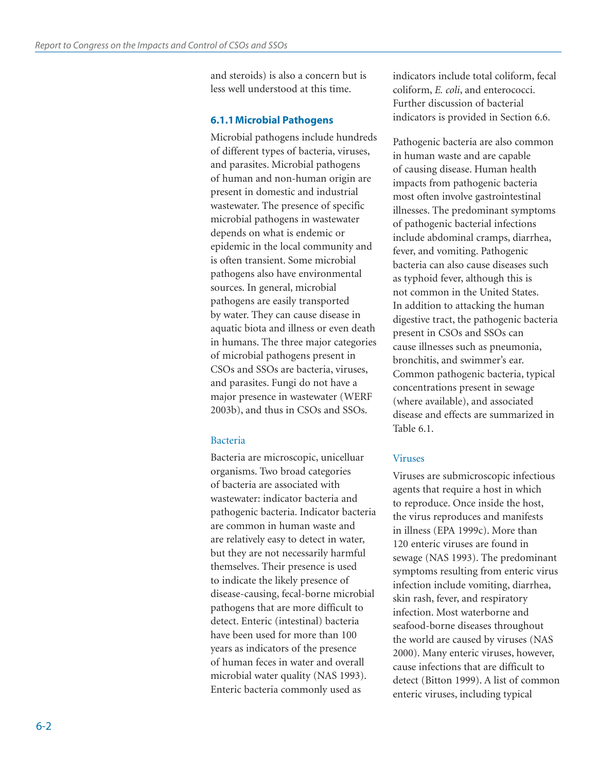and steroids) is also a concern but is less well understood at this time.

#### **6.1.1 Microbial Pathogens**

Microbial pathogens include hundreds of different types of bacteria, viruses, and parasites. Microbial pathogens of human and non-human origin are present in domestic and industrial wastewater. The presence of specific microbial pathogens in wastewater depends on what is endemic or epidemic in the local community and is often transient. Some microbial pathogens also have environmental sources. In general, microbial pathogens are easily transported by water. They can cause disease in aquatic biota and illness or even death in humans. The three major categories of microbial pathogens present in CSOs and SSOs are bacteria, viruses, and parasites. Fungi do not have a major presence in wastewater (WERF 2003b), and thus in CSOs and SSOs.

#### Bacteria

Bacteria are microscopic, unicelluar organisms. Two broad categories of bacteria are associated with wastewater: indicator bacteria and pathogenic bacteria. Indicator bacteria are common in human waste and are relatively easy to detect in water, but they are not necessarily harmful themselves. Their presence is used to indicate the likely presence of disease-causing, fecal-borne microbial pathogens that are more difficult to detect. Enteric (intestinal) bacteria have been used for more than 100 years as indicators of the presence of human feces in water and overall microbial water quality (NAS 1993). Enteric bacteria commonly used as

indicators include total coliform, fecal coliform, *E. coli*, and enterococci. Further discussion of bacterial indicators is provided in Section 6.6.

Pathogenic bacteria are also common in human waste and are capable of causing disease. Human health impacts from pathogenic bacteria most often involve gastrointestinal illnesses. The predominant symptoms of pathogenic bacterial infections include abdominal cramps, diarrhea, fever, and vomiting. Pathogenic bacteria can also cause diseases such as typhoid fever, although this is not common in the United States. In addition to attacking the human digestive tract, the pathogenic bacteria present in CSOs and SSOs can cause illnesses such as pneumonia, bronchitis, and swimmer's ear. Common pathogenic bacteria, typical concentrations present in sewage (where available), and associated disease and effects are summarized in Table 6.1.

#### Viruses

Viruses are submicroscopic infectious agents that require a host in which to reproduce. Once inside the host, the virus reproduces and manifests in illness (EPA 1999c). More than 120 enteric viruses are found in sewage (NAS 1993). The predominant symptoms resulting from enteric virus infection include vomiting, diarrhea, skin rash, fever, and respiratory infection. Most waterborne and seafood-borne diseases throughout the world are caused by viruses (NAS 2000). Many enteric viruses, however, cause infections that are difficult to detect (Bitton 1999). A list of common enteric viruses, including typical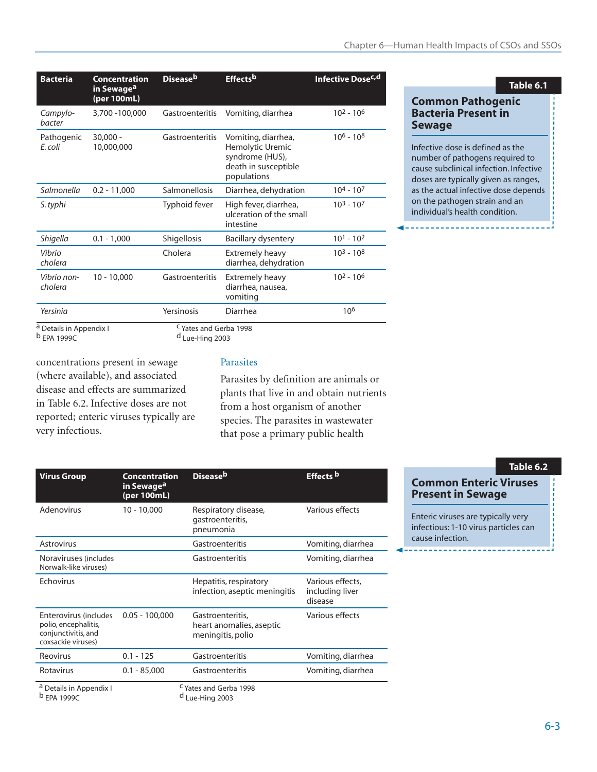| <b>Bacteria</b>                                   | Concentration<br>in Sewage <sup>a</sup><br>(per 100mL) | <b>Diseaseb</b>                                    | Effectsb                                                                                          | Infective Dose <sup>c,d</sup> |
|---------------------------------------------------|--------------------------------------------------------|----------------------------------------------------|---------------------------------------------------------------------------------------------------|-------------------------------|
| Campylo-<br>bacter                                | 3,700 -100,000                                         | Gastroenteritis                                    | Vomiting, diarrhea                                                                                | $10^2 - 10^6$                 |
| Pathogenic<br>E. coli                             | $30.000 -$<br>10,000,000                               | Gastroenteritis                                    | Vomiting, diarrhea,<br>Hemolytic Uremic<br>syndrome (HUS),<br>death in susceptible<br>populations | $106 - 108$                   |
| Salmonella                                        | $0.2 - 11,000$                                         | Salmonellosis                                      | Diarrhea, dehydration                                                                             | $104 - 107$                   |
| S. typhi                                          |                                                        | Typhoid fever                                      | High fever, diarrhea,<br>ulceration of the small<br>intestine                                     | $10^3 - 10^7$                 |
| Shigella                                          | $0.1 - 1,000$                                          | <b>Shigellosis</b>                                 | Bacillary dysentery                                                                               | $101 - 102$                   |
| Vibrio<br>cholera                                 |                                                        | Cholera                                            | <b>Extremely heavy</b><br>diarrhea, dehydration                                                   | $10^3 - 10^8$                 |
| Vibrio non-<br>cholera                            | $10 - 10,000$                                          | Gastroenteritis                                    | Extremely heavy<br>diarrhea, nausea,<br>vomiting                                                  | $10^2 - 10^6$                 |
| Yersinia                                          |                                                        | Yersinosis                                         | Diarrhea                                                                                          | 10 <sup>6</sup>               |
| a Details in Appendix I<br><sup>b</sup> EPA 1999C |                                                        | <sup>C</sup> Yates and Gerba 1998<br>Lue-Hing 2003 |                                                                                                   |                               |

# **Table 6.1**

#### **Common Pathogenic Bacteria Present in Sewage**

Infective dose is defined as the number of pathogens required to cause subclinical infection. Infective doses are typically given as ranges, as the actual infective dose depends on the pathogen strain and an individual's health condition.

concentrations present in sewage (where available), and associated disease and effects are summarized in Table 6.2. Infective doses are not reported; enteric viruses typically are very infectious.

#### Parasites

Parasites by definition are animals or plants that live in and obtain nutrients from a host organism of another species. The parasites in wastewater that pose a primary public health

| <b>Virus Group</b>                                                                         | <b>Concentration</b><br>in Sewage <sup>a</sup><br>(per 100mL) | Disease <sup>b</sup>                                              | Effects b                                      |
|--------------------------------------------------------------------------------------------|---------------------------------------------------------------|-------------------------------------------------------------------|------------------------------------------------|
| Adenovirus                                                                                 | $10 - 10,000$                                                 | Respiratory disease,<br>gastroenteritis,<br>pneumonia             | Various effects                                |
| Astrovirus                                                                                 |                                                               | Gastroenteritis                                                   | Vomiting, diarrhea                             |
| Noraviruses (includes<br>Norwalk-like viruses)                                             |                                                               | Gastroenteritis                                                   | Vomiting, diarrhea                             |
| Echovirus                                                                                  |                                                               | Hepatitis, respiratory<br>infection, aseptic meningitis           | Various effects,<br>including liver<br>disease |
| Enterovirus (includes<br>polio, encephalitis,<br>conjunctivitis, and<br>coxsackie viruses) | $0.05 - 100,000$                                              | Gastroenteritis,<br>heart anomalies, aseptic<br>meningitis, polio | Various effects                                |
| Reovirus                                                                                   | $0.1 - 125$                                                   | Gastroenteritis                                                   | Vomiting, diarrhea                             |
| Rotavirus                                                                                  | $0.1 - 85,000$                                                | Gastroenteritis                                                   | Vomiting, diarrhea                             |
| a Details in Appendix I<br><sup>b</sup> EPA 1999C                                          |                                                               | <sup>C</sup> Yates and Gerba 1998<br><sup>d</sup> Lue-Hing 2003   |                                                |

#### **Table 6.2**

**Common Enteric Viruses Present in Sewage**

Enteric viruses are typically very infectious: 1-10 virus particles can cause infection.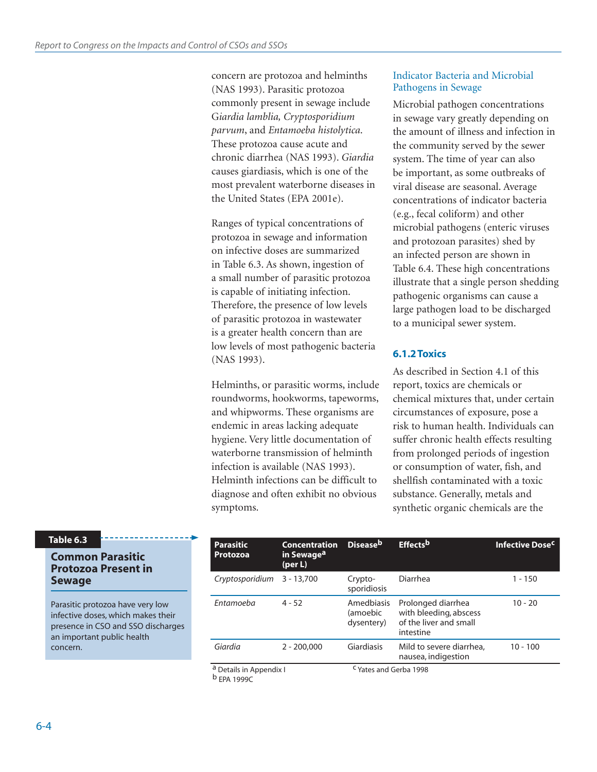concern are protozoa and helminths (NAS 1993). Parasitic protozoa commonly present in sewage include G*iardia lamblia, Cryptosporidium parvum*, and *Entamoeba histolytica*. These protozoa cause acute and chronic diarrhea (NAS 1993). *Giardia* causes giardiasis, which is one of the most prevalent waterborne diseases in the United States (EPA 2001e).

Ranges of typical concentrations of protozoa in sewage and information on infective doses are summarized in Table 6.3. As shown, ingestion of a small number of parasitic protozoa is capable of initiating infection. Therefore, the presence of low levels of parasitic protozoa in wastewater is a greater health concern than are low levels of most pathogenic bacteria (NAS 1993).

Helminths, or parasitic worms, include roundworms, hookworms, tapeworms, and whipworms. These organisms are endemic in areas lacking adequate hygiene. Very little documentation of waterborne transmission of helminth infection is available (NAS 1993). Helminth infections can be difficult to diagnose and often exhibit no obvious symptoms.

#### Indicator Bacteria and Microbial Pathogens in Sewage

Microbial pathogen concentrations in sewage vary greatly depending on the amount of illness and infection in the community served by the sewer system. The time of year can also be important, as some outbreaks of viral disease are seasonal. Average concentrations of indicator bacteria (e.g., fecal coliform) and other microbial pathogens (enteric viruses and protozoan parasites) shed by an infected person are shown in Table 6.4. These high concentrations illustrate that a single person shedding pathogenic organisms can cause a large pathogen load to be discharged to a municipal sewer system.

# **6.1.2 Toxics**

As described in Section 4.1 of this report, toxics are chemicals or chemical mixtures that, under certain circumstances of exposure, pose a risk to human health. Individuals can suffer chronic health effects resulting from prolonged periods of ingestion or consumption of water, fish, and shellfish contaminated with a toxic substance. Generally, metals and synthetic organic chemicals are the

#### **Table 6.3**

#### **Common Parasitic Protozoa Present in Sewage**

Parasitic protozoa have very low infective doses, which makes their presence in CSO and SSO discharges an important public health concern.

| <b>Parasitic</b><br><b>Protozoa</b> | <b>Concentration</b><br>in Sewage <sup>a</sup><br>(per L) | <b>Disease</b> b                     | Effects <sup>b</sup>                                                                | Infective Dose <sup>c</sup> |
|-------------------------------------|-----------------------------------------------------------|--------------------------------------|-------------------------------------------------------------------------------------|-----------------------------|
| Cryptosporidium                     | $3 - 13,700$                                              | Crypto-<br>sporidiosis               | Diarrhea                                                                            | $1 - 150$                   |
| Entamoeba                           | $4 - 52$                                                  | Amedbiasis<br>(amoebic<br>dysentery) | Prolonged diarrhea<br>with bleeding, abscess<br>of the liver and small<br>intestine | $10 - 20$                   |
| Giardia                             | $2 - 200,000$                                             | Giardiasis                           | Mild to severe diarrhea,<br>nausea, indigestion                                     | $10 - 100$                  |
| a Details in Appendix I             |                                                           | <sup>C</sup> Yates and Gerba 1998    |                                                                                     |                             |

b EPA 1999C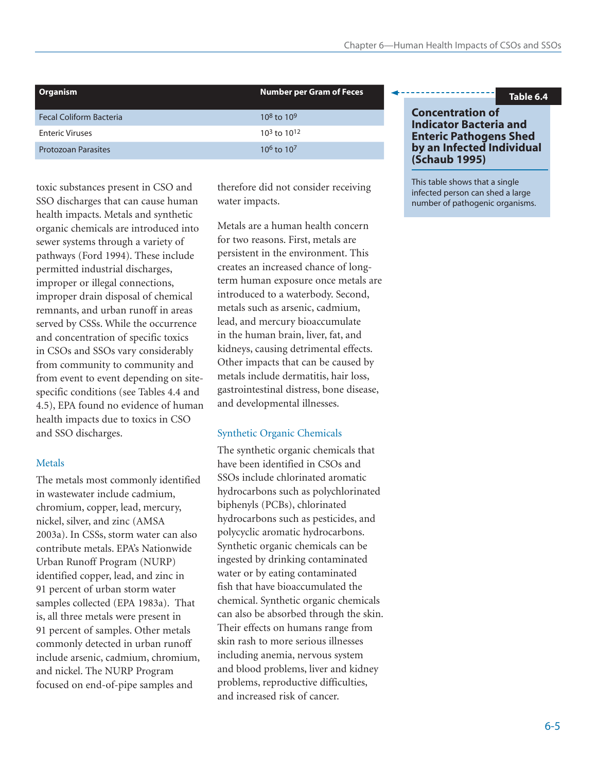| Organism                       | <b>Number per Gram of Feces</b> |
|--------------------------------|---------------------------------|
| <b>Fecal Coliform Bacteria</b> | $10^8$ to $10^9$                |
| <b>Enteric Viruses</b>         | $10^3$ to $10^{12}$             |
| <b>Protozoan Parasites</b>     | $10^6$ to $10^7$                |

toxic substances present in CSO and SSO discharges that can cause human health impacts. Metals and synthetic organic chemicals are introduced into sewer systems through a variety of pathways (Ford 1994). These include permitted industrial discharges, improper or illegal connections, improper drain disposal of chemical remnants, and urban runoff in areas served by CSSs. While the occurrence and concentration of specific toxics in CSOs and SSOs vary considerably from community to community and from event to event depending on sitespecific conditions (see Tables 4.4 and 4.5), EPA found no evidence of human health impacts due to toxics in CSO and SSO discharges.

# Metals

The metals most commonly identified in wastewater include cadmium, chromium, copper, lead, mercury, nickel, silver, and zinc (AMSA 2003a). In CSSs, storm water can also contribute metals. EPA's Nationwide Urban Runoff Program (NURP) identified copper, lead, and zinc in 91 percent of urban storm water samples collected (EPA 1983a). That is, all three metals were present in 91 percent of samples. Other metals commonly detected in urban runoff include arsenic, cadmium, chromium, and nickel. The NURP Program focused on end-of-pipe samples and

therefore did not consider receiving water impacts.

Metals are a human health concern for two reasons. First, metals are persistent in the environment. This creates an increased chance of longterm human exposure once metals are introduced to a waterbody. Second, metals such as arsenic, cadmium, lead, and mercury bioaccumulate in the human brain, liver, fat, and kidneys, causing detrimental effects. Other impacts that can be caused by metals include dermatitis, hair loss, gastrointestinal distress, bone disease, and developmental illnesses.

# Synthetic Organic Chemicals

The synthetic organic chemicals that have been identified in CSOs and SSOs include chlorinated aromatic hydrocarbons such as polychlorinated biphenyls (PCBs), chlorinated hydrocarbons such as pesticides, and polycyclic aromatic hydrocarbons. Synthetic organic chemicals can be ingested by drinking contaminated water or by eating contaminated fish that have bioaccumulated the chemical. Synthetic organic chemicals can also be absorbed through the skin. Their effects on humans range from skin rash to more serious illnesses including anemia, nervous system and blood problems, liver and kidney problems, reproductive difficulties, and increased risk of cancer.

#### **Table 6.4**

#### **Concentration of Indicator Bacteria and Enteric Pathogens Shed by an Infected Individual (Schaub 1995)**

This table shows that a single infected person can shed a large number of pathogenic organisms.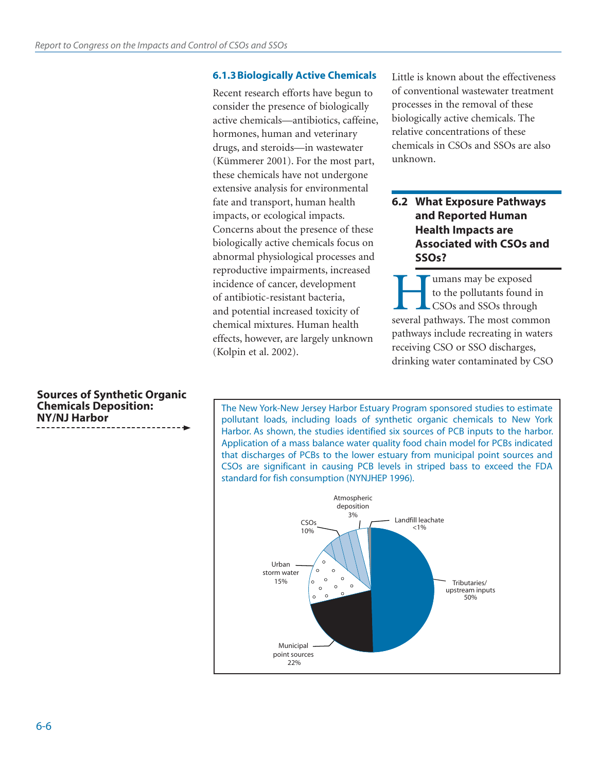#### **6.1.3 Biologically Active Chemicals**

Recent research efforts have begun to consider the presence of biologically active chemicals—antibiotics, caffeine, hormones, human and veterinary drugs, and steroids—in wastewater (Kümmerer 2001). For the most part, these chemicals have not undergone extensive analysis for environmental fate and transport, human health impacts, or ecological impacts. Concerns about the presence of these biologically active chemicals focus on abnormal physiological processes and reproductive impairments, increased incidence of cancer, development of antibiotic-resistant bacteria, and potential increased toxicity of chemical mixtures. Human health effects, however, are largely unknown (Kolpin et al. 2002).

Little is known about the effectiveness of conventional wastewater treatment processes in the removal of these biologically active chemicals. The relative concentrations of these chemicals in CSOs and SSOs are also unknown.

# **6.2 What Exposure Pathways and Reported Human Health Impacts are Associated with CSOs and SSOs?**

**Humans may be exposed<br>
to the pollutants found in<br>
CSOs and SSOs through<br>
several pathways. The most common** to the pollutants found in CSOs and SSOs through pathways include recreating in waters receiving CSO or SSO discharges, drinking water contaminated by CSO

The New York-New Jersey Harbor Estuary Program sponsored studies to estimate pollutant loads, including loads of synthetic organic chemicals to New York Harbor. As shown, the studies identified six sources of PCB inputs to the harbor. Application of a mass balance water quality food chain model for PCBs indicated that discharges of PCBs to the lower estuary from municipal point sources and CSOs are significant in causing PCB levels in striped bass to exceed the FDA standard for fish consumption (NYNJHEP 1996).



**Sources of Synthetic Organic Chemicals Deposition: NY/NJ Harbor**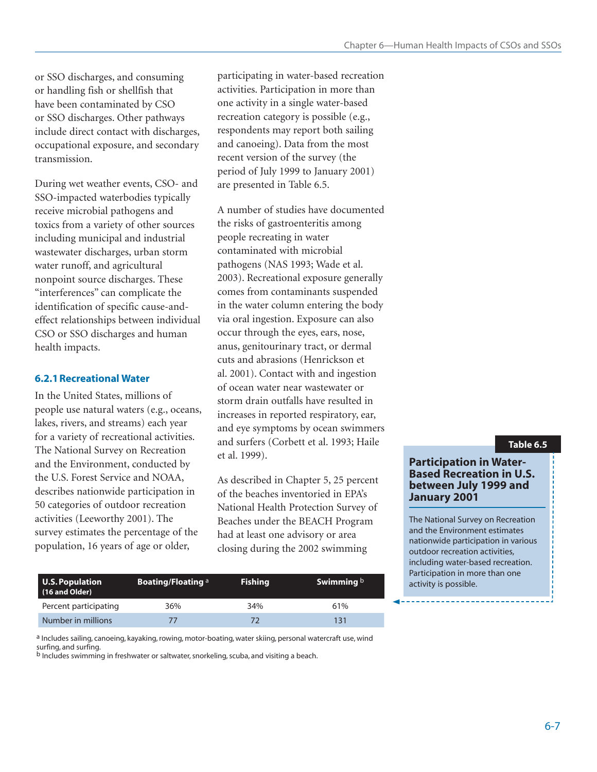or SSO discharges, and consuming or handling fish or shellfish that have been contaminated by CSO or SSO discharges. Other pathways include direct contact with discharges, occupational exposure, and secondary transmission.

During wet weather events, CSO- and SSO-impacted waterbodies typically receive microbial pathogens and toxics from a variety of other sources including municipal and industrial wastewater discharges, urban storm water runoff, and agricultural nonpoint source discharges. These "interferences" can complicate the identification of specific cause-andeffect relationships between individual CSO or SSO discharges and human health impacts.

#### **6.2.1 Recreational Water**

In the United States, millions of people use natural waters (e.g., oceans, lakes, rivers, and streams) each year for a variety of recreational activities. The National Survey on Recreation and the Environment, conducted by the U.S. Forest Service and NOAA, describes nationwide participation in 50 categories of outdoor recreation activities (Leeworthy 2001). The survey estimates the percentage of the population, 16 years of age or older,

participating in water-based recreation activities. Participation in more than one activity in a single water-based recreation category is possible (e.g., respondents may report both sailing and canoeing). Data from the most recent version of the survey (the period of July 1999 to January 2001) are presented in Table 6.5.

A number of studies have documented the risks of gastroenteritis among people recreating in water contaminated with microbial pathogens (NAS 1993; Wade et al. 2003). Recreational exposure generally comes from contaminants suspended in the water column entering the body via oral ingestion. Exposure can also occur through the eyes, ears, nose, anus, genitourinary tract, or dermal cuts and abrasions (Henrickson et al. 2001). Contact with and ingestion of ocean water near wastewater or storm drain outfalls have resulted in increases in reported respiratory, ear, and eye symptoms by ocean swimmers and surfers (Corbett et al. 1993; Haile et al. 1999).

As described in Chapter 5, 25 percent of the beaches inventoried in EPA's National Health Protection Survey of Beaches under the BEACH Program had at least one advisory or area closing during the 2002 swimming

#### **U.S. Population Boating/Floating a Fishing Swimming b activity is possible. (16 and Older) Boating/Floating a** Percent participating 36% 34% 34% 61% Number in millions 77 72 72 131

a Includes sailing, canoeing, kayaking, rowing, motor-boating, water skiing, personal watercraft use, wind surfing, and surfing.

b Includes swimming in freshwater or saltwater, snorkeling, scuba, and visiting a beach.

#### **Table 6.5**

#### **Participation in Water-Based Recreation in U.S. between July 1999 and January 2001**

The National Survey on Recreation and the Environment estimates nationwide participation in various outdoor recreation activities, including water-based recreation. Participation in more than one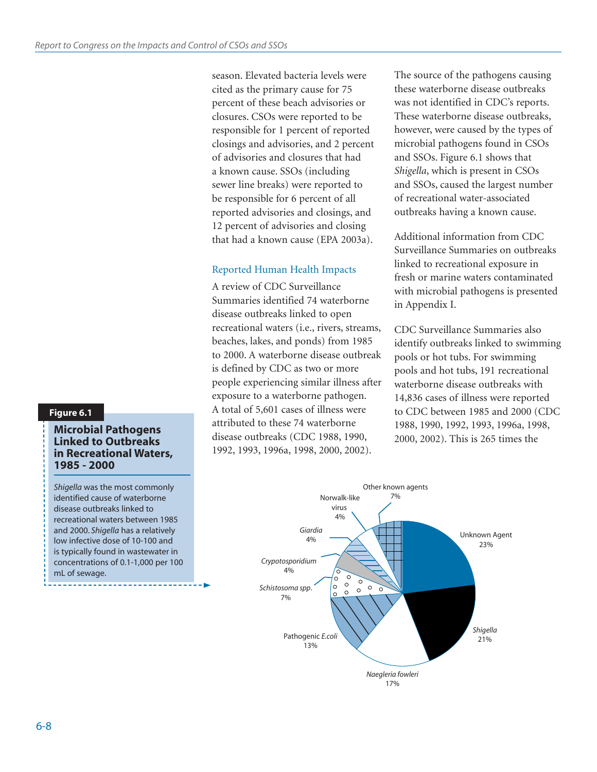season. Elevated bacteria levels were cited as the primary cause for 75 percent of these beach advisories or closures. CSOs were reported to be responsible for 1 percent of reported closings and advisories, and 2 percent of advisories and closures that had a known cause. SSOs (including sewer line breaks) were reported to be responsible for 6 percent of all reported advisories and closings, and 12 percent of advisories and closing that had a known cause (EPA 2003a).

#### Reported Human Health Impacts

A review of CDC Surveillance Summaries identified 74 waterborne disease outbreaks linked to open recreational waters (i.e., rivers, streams, beaches, lakes, and ponds) from 1985 to 2000. A waterborne disease outbreak is defined by CDC as two or more people experiencing similar illness after exposure to a waterborne pathogen. A total of 5,601 cases of illness were attributed to these 74 waterborne disease outbreaks (CDC 1988, 1990, 1992, 1993, 1996a, 1998, 2000, 2002).

The source of the pathogens causing these waterborne disease outbreaks was not identified in CDC's reports. These waterborne disease outbreaks, however, were caused by the types of microbial pathogens found in CSOs and SSOs. Figure 6.1 shows that *Shigella*, which is present in CSOs and SSOs, caused the largest number of recreational water-associated outbreaks having a known cause.

Additional information from CDC Surveillance Summaries on outbreaks linked to recreational exposure in fresh or marine waters contaminated with microbial pathogens is presented in Appendix I.

CDC Surveillance Summaries also identify outbreaks linked to swimming pools or hot tubs. For swimming pools and hot tubs, 191 recreational waterborne disease outbreaks with 14,836 cases of illness were reported to CDC between 1985 and 2000 (CDC 1988, 1990, 1992, 1993, 1996a, 1998, 2000, 2002). This is 265 times the



## **Figure 6.1**

#### **Microbial Pathogens Linked to Outbreaks in Recreational Waters, 1985 - 2000**

*Shigella* was the most commonly identified cause of waterborne disease outbreaks linked to recreational waters between 1985 and 2000. *Shigella* has a relatively low infective dose of 10-100 and is typically found in wastewater in concentrations of 0.1-1,000 per 100 mL of sewage.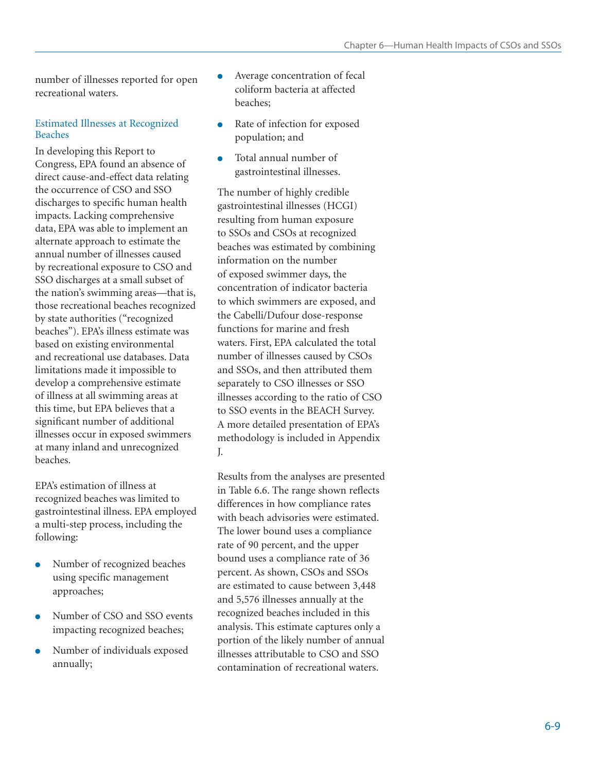number of illnesses reported for open recreational waters.

#### Estimated Illnesses at Recognized Beaches

In developing this Report to Congress, EPA found an absence of direct cause-and-effect data relating the occurrence of CSO and SSO discharges to specific human health impacts. Lacking comprehensive data, EPA was able to implement an alternate approach to estimate the annual number of illnesses caused by recreational exposure to CSO and SSO discharges at a small subset of the nation's swimming areas—that is, those recreational beaches recognized by state authorities ("recognized beaches"). EPA's illness estimate was based on existing environmental and recreational use databases. Data limitations made it impossible to develop a comprehensive estimate of illness at all swimming areas at this time, but EPA believes that a significant number of additional illnesses occur in exposed swimmers at many inland and unrecognized beaches.

EPA's estimation of illness at recognized beaches was limited to gastrointestinal illness. EPA employed a multi-step process, including the following:

- Number of recognized beaches using specific management approaches;
- Number of CSO and SSO events impacting recognized beaches;
- Number of individuals exposed annually;
- Average concentration of fecal coliform bacteria at affected beaches;
- Rate of infection for exposed population; and
- Total annual number of gastrointestinal illnesses.

The number of highly credible gastrointestinal illnesses (HCGI) resulting from human exposure to SSOs and CSOs at recognized beaches was estimated by combining information on the number of exposed swimmer days, the concentration of indicator bacteria to which swimmers are exposed, and the Cabelli/Dufour dose-response functions for marine and fresh waters. First, EPA calculated the total number of illnesses caused by CSOs and SSOs, and then attributed them separately to CSO illnesses or SSO illnesses according to the ratio of CSO to SSO events in the BEACH Survey. A more detailed presentation of EPA's methodology is included in Appendix J.

Results from the analyses are presented in Table 6.6. The range shown reflects differences in how compliance rates with beach advisories were estimated. The lower bound uses a compliance rate of 90 percent, and the upper bound uses a compliance rate of 36 percent. As shown, CSOs and SSOs are estimated to cause between 3,448 and 5,576 illnesses annually at the recognized beaches included in this analysis. This estimate captures only a portion of the likely number of annual illnesses attributable to CSO and SSO contamination of recreational waters.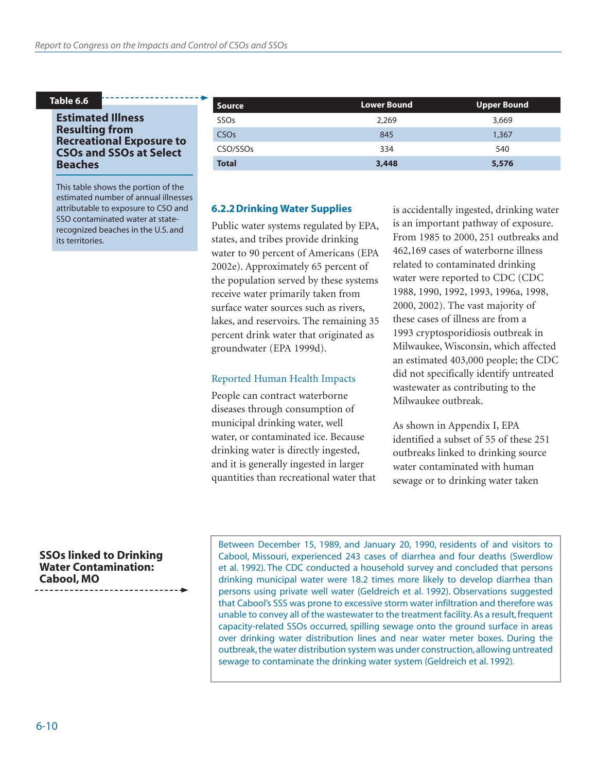#### **Table 6.6**

#### **Estimated Illness Resulting from Recreational Exposure to CSOs and SSOs at Select Beaches**

This table shows the portion of the estimated number of annual illnesses attributable to exposure to CSO and SSO contaminated water at staterecognized beaches in the U.S. and its territories.

| <b>Source</b>          | <b>Lower Bound</b> | Upper Bound |
|------------------------|--------------------|-------------|
| SSO <sub>s</sub>       | 2,269              | 3,669       |
| <b>CSO<sub>s</sub></b> | 845                | 1,367       |
| CSO/SSO <sub>S</sub>   | 334                | 540         |
| <b>Total</b>           | 3,448              | 5,576       |

#### **6.2.2 Drinking Water Supplies**

Public water systems regulated by EPA, states, and tribes provide drinking water to 90 percent of Americans (EPA 2002e). Approximately 65 percent of the population served by these systems receive water primarily taken from surface water sources such as rivers, lakes, and reservoirs. The remaining 35 percent drink water that originated as groundwater (EPA 1999d).

#### Reported Human Health Impacts

People can contract waterborne diseases through consumption of municipal drinking water, well water, or contaminated ice. Because drinking water is directly ingested, and it is generally ingested in larger quantities than recreational water that is accidentally ingested, drinking water is an important pathway of exposure. From 1985 to 2000, 251 outbreaks and 462,169 cases of waterborne illness related to contaminated drinking water were reported to CDC (CDC 1988, 1990, 1992, 1993, 1996a, 1998, 2000, 2002). The vast majority of these cases of illness are from a 1993 cryptosporidiosis outbreak in Milwaukee, Wisconsin, which affected an estimated 403,000 people; the CDC did not specifically identify untreated wastewater as contributing to the Milwaukee outbreak.

As shown in Appendix I, EPA identified a subset of 55 of these 251 outbreaks linked to drinking source water contaminated with human sewage or to drinking water taken

**SSOs linked to Drinking Water Contamination: Cabool, MO**

Between December 15, 1989, and January 20, 1990, residents of and visitors to Cabool, Missouri, experienced 243 cases of diarrhea and four deaths (Swerdlow et al. 1992). The CDC conducted a household survey and concluded that persons drinking municipal water were 18.2 times more likely to develop diarrhea than persons using private well water (Geldreich et al. 1992). Observations suggested that Cabool's SSS was prone to excessive storm water infiltration and therefore was unable to convey all of the wastewater to the treatment facility. As a result, frequent capacity-related SSOs occurred, spilling sewage onto the ground surface in areas over drinking water distribution lines and near water meter boxes. During the outbreak, the water distribution system was under construction, allowing untreated sewage to contaminate the drinking water system (Geldreich et al. 1992).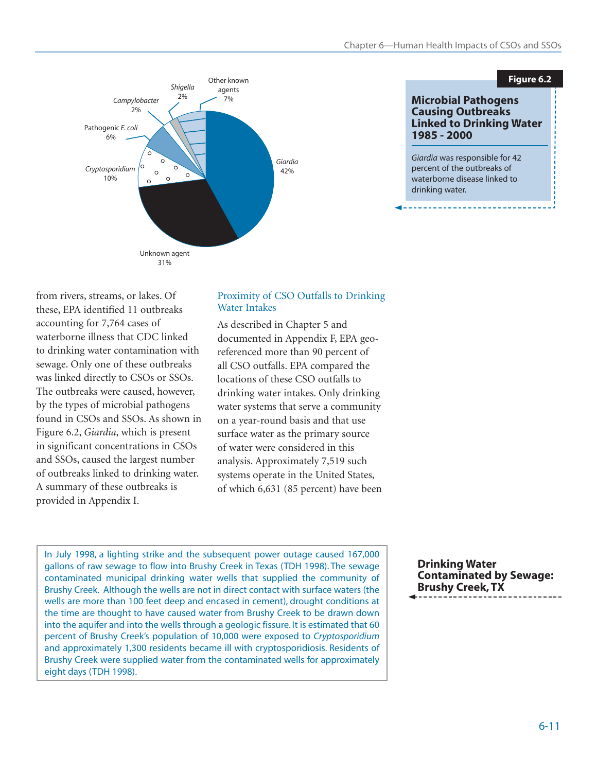



from rivers, streams, or lakes. Of these, EPA identified 11 outbreaks accounting for 7,764 cases of waterborne illness that CDC linked to drinking water contamination with sewage. Only one of these outbreaks was linked directly to CSOs or SSOs. The outbreaks were caused, however, by the types of microbial pathogens found in CSOs and SSOs. As shown in Figure 6.2, *Giardia*, which is present in significant concentrations in CSOs and SSOs, caused the largest number of outbreaks linked to drinking water. A summary of these outbreaks is provided in Appendix I.

#### Proximity of CSO Outfalls to Drinking Water Intakes

As described in Chapter 5 and documented in Appendix F, EPA georeferenced more than 90 percent of all CSO outfalls. EPA compared the locations of these CSO outfalls to drinking water intakes. Only drinking water systems that serve a community on a year-round basis and that use surface water as the primary source of water were considered in this analysis. Approximately 7,519 such systems operate in the United States, of which 6,631 (85 percent) have been

In July 1998, a lighting strike and the subsequent power outage caused 167,000 gallons of raw sewage to flow into Brushy Creek in Texas (TDH 1998). The sewage contaminated municipal drinking water wells that supplied the community of Brushy Creek. Although the wells are not in direct contact with surface waters (the wells are more than 100 feet deep and encased in cement), drought conditions at the time are thought to have caused water from Brushy Creek to be drawn down into the aquifer and into the wells through a geologic fissure. It is estimated that 60 percent of Brushy Creek's population of 10,000 were exposed to *Cryptosporidium* and approximately 1,300 residents became ill with cryptosporidiosis. Residents of Brushy Creek were supplied water from the contaminated wells for approximately eight days (TDH 1998).

**Drinking Water Contaminated by Sewage: Brushy Creek, TX**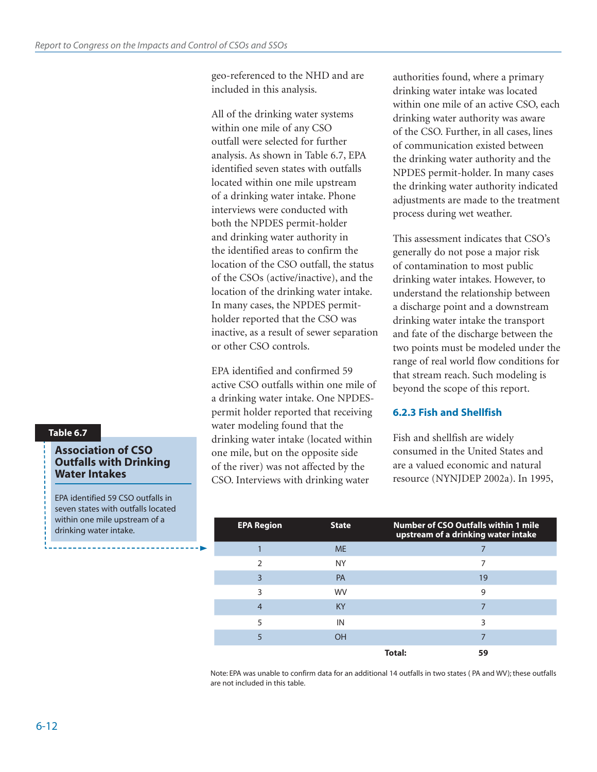geo-referenced to the NHD and are included in this analysis.

All of the drinking water systems within one mile of any CSO outfall were selected for further analysis. As shown in Table 6.7, EPA identified seven states with outfalls located within one mile upstream of a drinking water intake. Phone interviews were conducted with both the NPDES permit-holder and drinking water authority in the identified areas to confirm the location of the CSO outfall, the status of the CSOs (active/inactive), and the location of the drinking water intake. In many cases, the NPDES permitholder reported that the CSO was inactive, as a result of sewer separation or other CSO controls.

EPA identified and confirmed 59 active CSO outfalls within one mile of a drinking water intake. One NPDESpermit holder reported that receiving water modeling found that the drinking water intake (located within one mile, but on the opposite side of the river) was not affected by the CSO. Interviews with drinking water

authorities found, where a primary drinking water intake was located within one mile of an active CSO, each drinking water authority was aware of the CSO. Further, in all cases, lines of communication existed between the drinking water authority and the NPDES permit-holder. In many cases the drinking water authority indicated adjustments are made to the treatment process during wet weather.

This assessment indicates that CSO's generally do not pose a major risk of contamination to most public drinking water intakes. However, to understand the relationship between a discharge point and a downstream drinking water intake the transport and fate of the discharge between the two points must be modeled under the range of real world flow conditions for that stream reach. Such modeling is beyond the scope of this report.

#### **6.2.3 Fish and Shellfish**

Fish and shellfish are widely consumed in the United States and are a valued economic and natural resource (NYNJDEP 2002a). In 1995,

| <b>EPA Region</b> | <b>State</b> |        | <b>Number of CSO Outfalls within 1 mile</b><br>upstream of a drinking water intake |
|-------------------|--------------|--------|------------------------------------------------------------------------------------|
|                   | <b>ME</b>    |        |                                                                                    |
| $\mathcal{P}$     | <b>NY</b>    |        | 7                                                                                  |
| 3                 | PA           |        | 19                                                                                 |
| ς                 | <b>WV</b>    |        | 9                                                                                  |
| 4                 | <b>KY</b>    |        |                                                                                    |
| 5                 | IN           |        | ς                                                                                  |
|                   | OH           |        |                                                                                    |
|                   |              | Total: | 59                                                                                 |

Note: EPA was unable to confirm data for an additional 14 outfalls in two states ( PA and WV); these outfalls are not included in this table.

#### **Table 6.7**

#### **Association of CSO Outfalls with Drinking Water Intakes**

EPA identified 59 CSO outfalls in seven states with outfalls located within one mile upstream of a drinking water intake.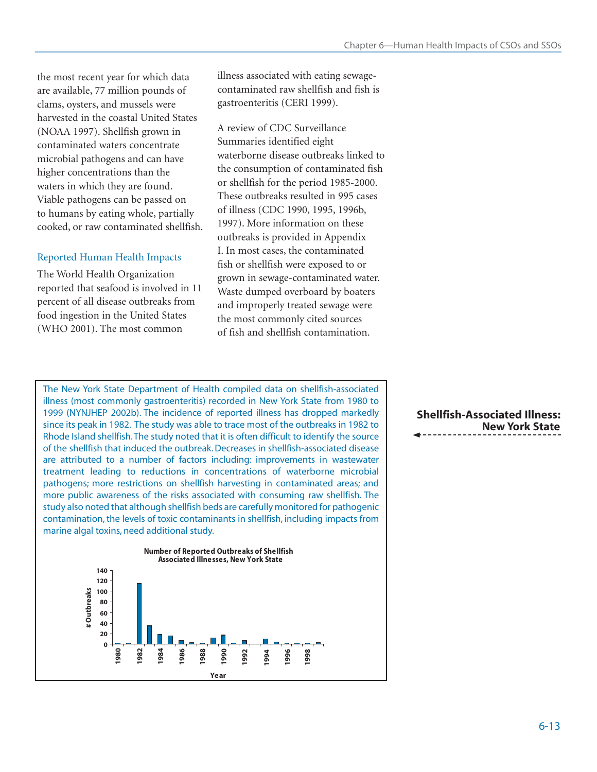the most recent year for which data are available, 77 million pounds of clams, oysters, and mussels were harvested in the coastal United States (NOAA 1997). Shellfish grown in contaminated waters concentrate microbial pathogens and can have higher concentrations than the waters in which they are found. Viable pathogens can be passed on to humans by eating whole, partially cooked, or raw contaminated shellfish.

#### Reported Human Health Impacts

The World Health Organization reported that seafood is involved in 11 percent of all disease outbreaks from food ingestion in the United States (WHO 2001). The most common

illness associated with eating sewagecontaminated raw shellfish and fish is gastroenteritis (CERI 1999).

A review of CDC Surveillance Summaries identified eight waterborne disease outbreaks linked to the consumption of contaminated fish or shellfish for the period 1985-2000. These outbreaks resulted in 995 cases of illness (CDC 1990, 1995, 1996b, 1997). More information on these outbreaks is provided in Appendix I. In most cases, the contaminated fish or shellfish were exposed to or grown in sewage-contaminated water. Waste dumped overboard by boaters and improperly treated sewage were the most commonly cited sources of fish and shellfish contamination.

The New York State Department of Health compiled data on shellfish-associated illness (most commonly gastroenteritis) recorded in New York State from 1980 to 1999 (NYNJHEP 2002b). The incidence of reported illness has dropped markedly since its peak in 1982. The study was able to trace most of the outbreaks in 1982 to Rhode Island shellfish. The study noted that it is often difficult to identify the source of the shellfish that induced the outbreak. Decreases in shellfish-associated disease are attributed to a number of factors including: improvements in wastewater treatment leading to reductions in concentrations of waterborne microbial pathogens; more restrictions on shellfish harvesting in contaminated areas; and more public awareness of the risks associated with consuming raw shellfish. The study also noted that although shellfish beds are carefully monitored for pathogenic contamination, the levels of toxic contaminants in shellfish, including impacts from marine algal toxins, need additional study.



**Shellfish-Associated Illness: New York State**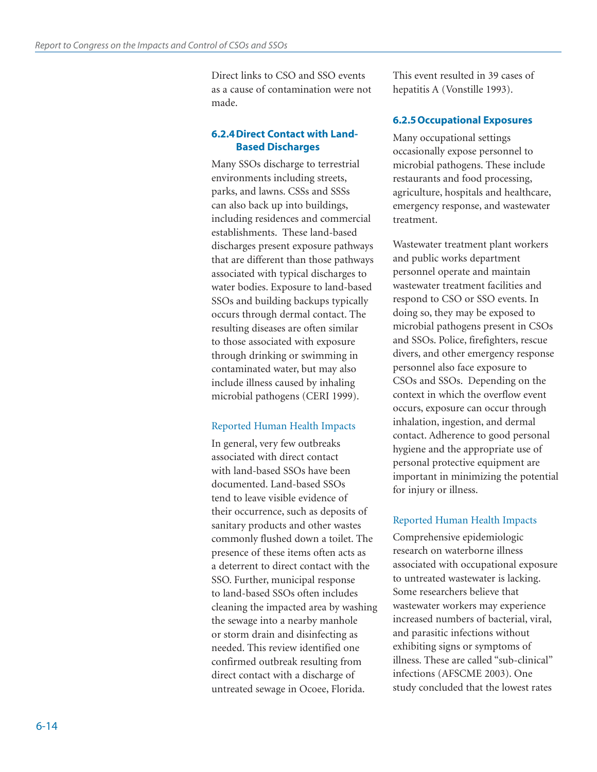Direct links to CSO and SSO events as a cause of contamination were not made.

#### **6.2.4 Direct Contact with Land-Based Discharges**

Many SSOs discharge to terrestrial environments including streets, parks, and lawns. CSSs and SSSs can also back up into buildings, including residences and commercial establishments. These land-based discharges present exposure pathways that are different than those pathways associated with typical discharges to water bodies. Exposure to land-based SSOs and building backups typically occurs through dermal contact. The resulting diseases are often similar to those associated with exposure through drinking or swimming in contaminated water, but may also include illness caused by inhaling microbial pathogens (CERI 1999).

#### Reported Human Health Impacts

In general, very few outbreaks associated with direct contact with land-based SSOs have been documented. Land-based SSOs tend to leave visible evidence of their occurrence, such as deposits of sanitary products and other wastes commonly flushed down a toilet. The presence of these items often acts as a deterrent to direct contact with the SSO. Further, municipal response to land-based SSOs often includes cleaning the impacted area by washing the sewage into a nearby manhole or storm drain and disinfecting as needed. This review identified one confirmed outbreak resulting from direct contact with a discharge of untreated sewage in Ocoee, Florida.

This event resulted in 39 cases of hepatitis A (Vonstille 1993).

## **6.2.5 Occupational Exposures**

Many occupational settings occasionally expose personnel to microbial pathogens. These include restaurants and food processing, agriculture, hospitals and healthcare, emergency response, and wastewater treatment.

Wastewater treatment plant workers and public works department personnel operate and maintain wastewater treatment facilities and respond to CSO or SSO events. In doing so, they may be exposed to microbial pathogens present in CSOs and SSOs. Police, firefighters, rescue divers, and other emergency response personnel also face exposure to CSOs and SSOs. Depending on the context in which the overflow event occurs, exposure can occur through inhalation, ingestion, and dermal contact. Adherence to good personal hygiene and the appropriate use of personal protective equipment are important in minimizing the potential for injury or illness.

# Reported Human Health Impacts

Comprehensive epidemiologic research on waterborne illness associated with occupational exposure to untreated wastewater is lacking. Some researchers believe that wastewater workers may experience increased numbers of bacterial, viral, and parasitic infections without exhibiting signs or symptoms of illness. These are called "sub-clinical" infections (AFSCME 2003). One study concluded that the lowest rates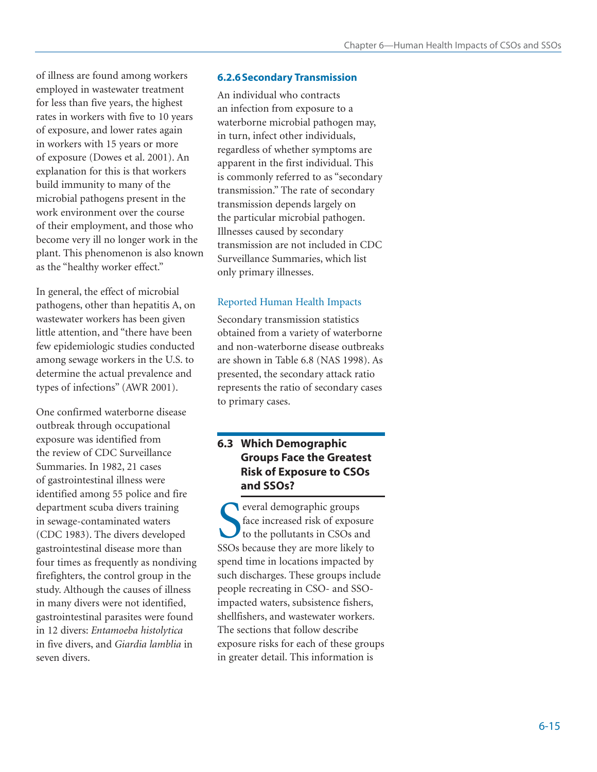of illness are found among workers employed in wastewater treatment for less than five years, the highest rates in workers with five to 10 years of exposure, and lower rates again in workers with 15 years or more of exposure (Dowes et al. 2001). An explanation for this is that workers build immunity to many of the microbial pathogens present in the work environment over the course of their employment, and those who become very ill no longer work in the plant. This phenomenon is also known as the "healthy worker effect."

In general, the effect of microbial pathogens, other than hepatitis A, on wastewater workers has been given little attention, and "there have been few epidemiologic studies conducted among sewage workers in the U.S. to determine the actual prevalence and types of infections" (AWR 2001).

One confirmed waterborne disease outbreak through occupational exposure was identified from the review of CDC Surveillance Summaries. In 1982, 21 cases of gastrointestinal illness were identified among 55 police and fire department scuba divers training in sewage-contaminated waters (CDC 1983). The divers developed gastrointestinal disease more than four times as frequently as nondiving firefighters, the control group in the study. Although the causes of illness in many divers were not identified, gastrointestinal parasites were found in 12 divers: *Entamoeba histolytica* in five divers, and *Giardia lamblia* in seven divers.

# **6.2.6 Secondary Transmission**

An individual who contracts an infection from exposure to a waterborne microbial pathogen may, in turn, infect other individuals, regardless of whether symptoms are apparent in the first individual. This is commonly referred to as "secondary transmission." The rate of secondary transmission depends largely on the particular microbial pathogen. Illnesses caused by secondary transmission are not included in CDC Surveillance Summaries, which list only primary illnesses.

#### Reported Human Health Impacts

Secondary transmission statistics obtained from a variety of waterborne and non-waterborne disease outbreaks are shown in Table 6.8 (NAS 1998). As presented, the secondary attack ratio represents the ratio of secondary cases to primary cases.

# **6.3 Which Demographic Groups Face the Greatest Risk of Exposure to CSOs and SSOs?**

Subset of exposure to the pollutants in CSOs and SSOs because they are more likely to everal demographic groups face increased risk of exposure to the pollutants in CSOs and spend time in locations impacted by such discharges. These groups include people recreating in CSO- and SSOimpacted waters, subsistence fishers, shellfishers, and wastewater workers. The sections that follow describe exposure risks for each of these groups in greater detail. This information is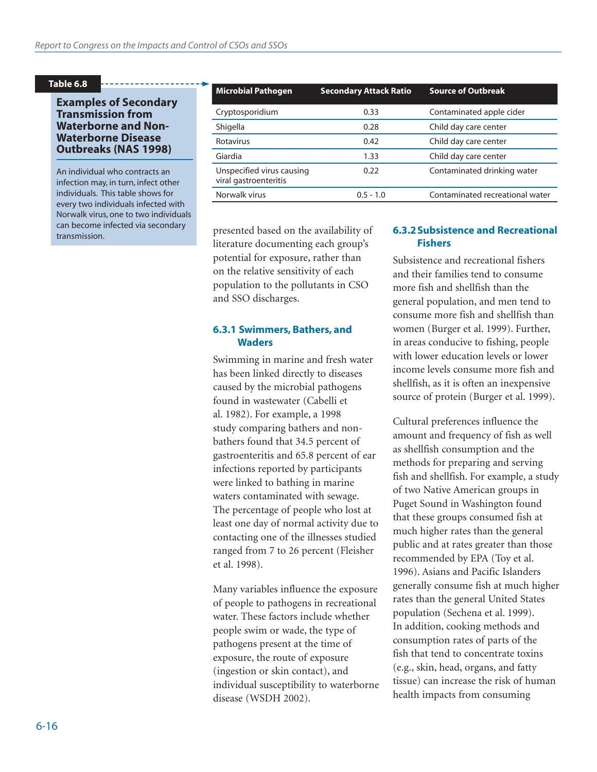#### **Table 6.8**

#### **Examples of Secondary Transmission from Waterborne and Non-Waterborne Disease Outbreaks (NAS 1998)**

An individual who contracts an infection may, in turn, infect other individuals. This table shows for every two individuals infected with Norwalk virus, one to two individuals can become infected via secondary transmission.

| <b>Microbial Pathogen</b>                          | <b>Secondary Attack Ratio</b> | <b>Source of Outbreak</b>       |
|----------------------------------------------------|-------------------------------|---------------------------------|
| Cryptosporidium                                    | 0.33                          | Contaminated apple cider        |
| Shigella                                           | 0.28                          | Child day care center           |
| Rotavirus                                          | 0.42                          | Child day care center           |
| Giardia                                            | 1.33                          | Child day care center           |
| Unspecified virus causing<br>viral gastroenteritis | 0.22                          | Contaminated drinking water     |
| Norwalk virus                                      | $0.5 - 1.0$                   | Contaminated recreational water |

presented based on the availability of literature documenting each group's potential for exposure, rather than on the relative sensitivity of each population to the pollutants in CSO and SSO discharges.

#### **6.3.1 Swimmers, Bathers, and Waders**

Swimming in marine and fresh water has been linked directly to diseases caused by the microbial pathogens found in wastewater (Cabelli et al. 1982). For example, a 1998 study comparing bathers and nonbathers found that 34.5 percent of gastroenteritis and 65.8 percent of ear infections reported by participants were linked to bathing in marine waters contaminated with sewage. The percentage of people who lost at least one day of normal activity due to contacting one of the illnesses studied ranged from 7 to 26 percent (Fleisher et al. 1998).

Many variables influence the exposure of people to pathogens in recreational water. These factors include whether people swim or wade, the type of pathogens present at the time of exposure, the route of exposure (ingestion or skin contact), and individual susceptibility to waterborne disease (WSDH 2002).

#### **6.3.2 Subsistence and Recreational Fishers**

Subsistence and recreational fishers and their families tend to consume more fish and shellfish than the general population, and men tend to consume more fish and shellfish than women (Burger et al. 1999). Further, in areas conducive to fishing, people with lower education levels or lower income levels consume more fish and shellfish, as it is often an inexpensive source of protein (Burger et al. 1999).

Cultural preferences influence the amount and frequency of fish as well as shellfish consumption and the methods for preparing and serving fish and shellfish. For example, a study of two Native American groups in Puget Sound in Washington found that these groups consumed fish at much higher rates than the general public and at rates greater than those recommended by EPA (Toy et al. 1996). Asians and Pacific Islanders generally consume fish at much higher rates than the general United States population (Sechena et al. 1999). In addition, cooking methods and consumption rates of parts of the fish that tend to concentrate toxins (e.g., skin, head, organs, and fatty tissue) can increase the risk of human health impacts from consuming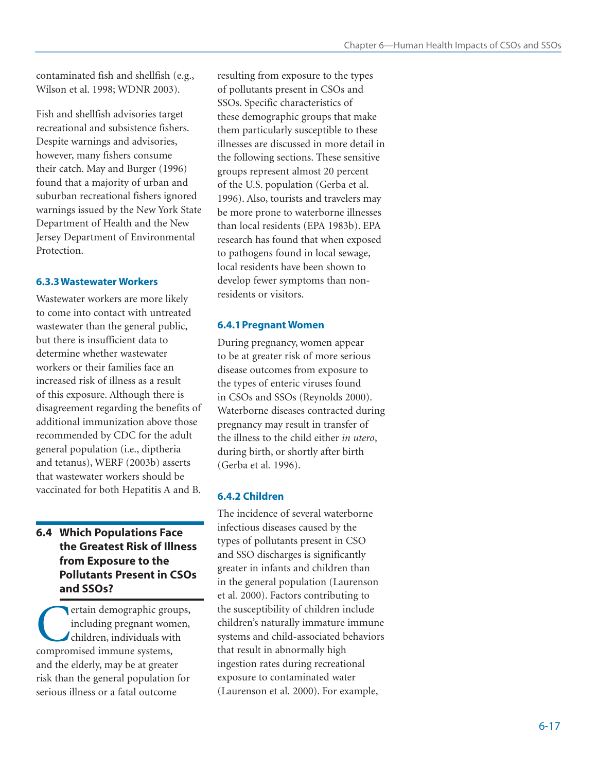contaminated fish and shellfish (e.g., Wilson et al. 1998; WDNR 2003).

Fish and shellfish advisories target recreational and subsistence fishers. Despite warnings and advisories, however, many fishers consume their catch. May and Burger (1996) found that a majority of urban and suburban recreational fishers ignored warnings issued by the New York State Department of Health and the New Jersey Department of Environmental Protection.

# **6.3.3 Wastewater Workers**

Wastewater workers are more likely to come into contact with untreated wastewater than the general public, but there is insufficient data to determine whether wastewater workers or their families face an increased risk of illness as a result of this exposure. Although there is disagreement regarding the benefits of additional immunization above those recommended by CDC for the adult general population (i.e., diptheria and tetanus), WERF (2003b) asserts that wastewater workers should be vaccinated for both Hepatitis A and B.

# **6.4 Which Populations Face the Greatest Risk of Illness from Exposure to the Pollutants Present in CSOs and SSOs?**

ertain demographic groups, including pregnant women, children, individuals with compromised immune systems, and the elderly, may be at greater risk than the general population for serious illness or a fatal outcome

resulting from exposure to the types of pollutants present in CSOs and SSOs. Specific characteristics of these demographic groups that make them particularly susceptible to these illnesses are discussed in more detail in the following sections. These sensitive groups represent almost 20 percent of the U.S. population (Gerba et al. 1996). Also, tourists and travelers may be more prone to waterborne illnesses than local residents (EPA 1983b). EPA research has found that when exposed to pathogens found in local sewage, local residents have been shown to develop fewer symptoms than nonresidents or visitors.

# **6.4.1 Pregnant Women**

During pregnancy, women appear to be at greater risk of more serious disease outcomes from exposure to the types of enteric viruses found in CSOs and SSOs (Reynolds 2000). Waterborne diseases contracted during pregnancy may result in transfer of the illness to the child either *in utero*, during birth, or shortly after birth (Gerba et al*.* 1996).

# **6.4.2 Children**

The incidence of several waterborne infectious diseases caused by the types of pollutants present in CSO and SSO discharges is significantly greater in infants and children than in the general population (Laurenson et al*.* 2000). Factors contributing to the susceptibility of children include children's naturally immature immune systems and child-associated behaviors that result in abnormally high ingestion rates during recreational exposure to contaminated water (Laurenson et al*.* 2000). For example,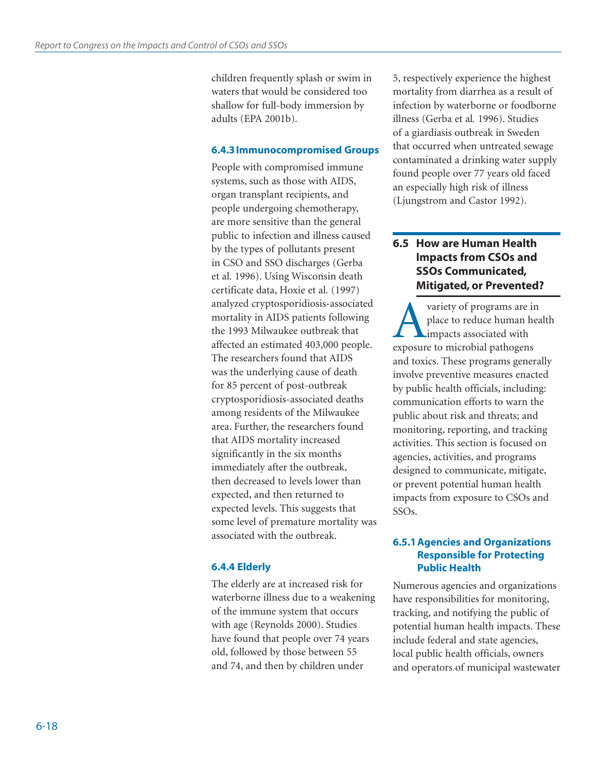children frequently splash or swim in waters that would be considered too shallow for full-body immersion by adults (EPA 2001b).

#### **6.4.3 Immunocompromised Groups**

People with compromised immune systems, such as those with AIDS, organ transplant recipients, and people undergoing chemotherapy, are more sensitive than the general public to infection and illness caused by the types of pollutants present in CSO and SSO discharges (Gerba et al*.* 1996). Using Wisconsin death certificate data, Hoxie et al*.* (1997) analyzed cryptosporidiosis-associated mortality in AIDS patients following the 1993 Milwaukee outbreak that affected an estimated 403,000 people. The researchers found that AIDS was the underlying cause of death for 85 percent of post-outbreak cryptosporidiosis-associated deaths among residents of the Milwaukee area. Further, the researchers found that AIDS mortality increased significantly in the six months immediately after the outbreak, then decreased to levels lower than expected, and then returned to expected levels. This suggests that some level of premature mortality was associated with the outbreak.

#### **6.4.4 Elderly**

The elderly are at increased risk for waterborne illness due to a weakening of the immune system that occurs with age (Reynolds 2000). Studies have found that people over 74 years old, followed by those between 55 and 74, and then by children under

5, respectively experience the highest mortality from diarrhea as a result of infection by waterborne or foodborne illness (Gerba et al*.* 1996). Studies of a giardiasis outbreak in Sweden that occurred when untreated sewage contaminated a drinking water supply found people over 77 years old faced an especially high risk of illness (Ljungstrom and Castor 1992).

# **6.5 How are Human Health Impacts from CSOs and SSOs Communicated, Mitigated, or Prevented?**

**A** variety of programs are in<br>place to reduce human hea<br>impacts associated with<br>exposure to microbial pathogens place to reduce human health impacts associated with and toxics. These programs generally involve preventive measures enacted by public health officials, including: communication efforts to warn the public about risk and threats; and monitoring, reporting, and tracking activities. This section is focused on agencies, activities, and programs designed to communicate, mitigate, or prevent potential human health impacts from exposure to CSOs and SSOs.

#### **6.5.1 Agencies and Organizations Responsible for Protecting Public Health**

Numerous agencies and organizations have responsibilities for monitoring, tracking, and notifying the public of potential human health impacts. These include federal and state agencies, local public health officials, owners and operators of municipal wastewater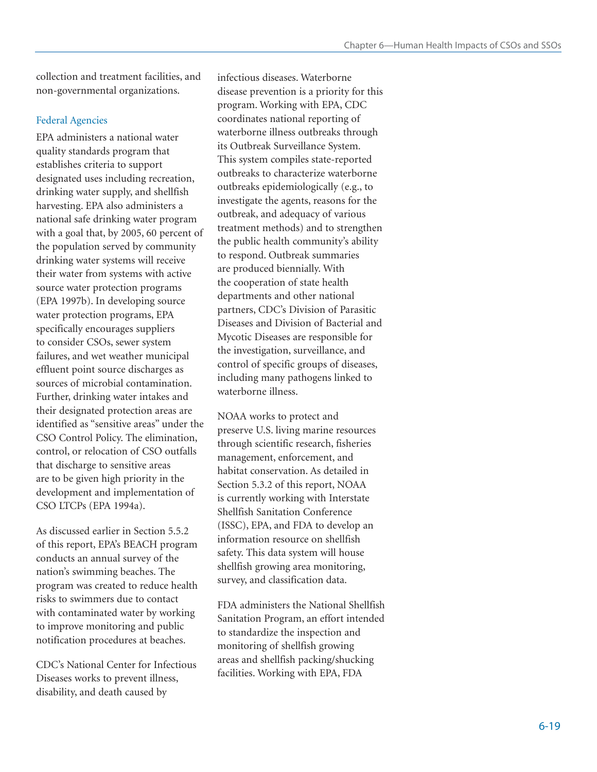collection and treatment facilities, and non-governmental organizations.

#### Federal Agencies

EPA administers a national water quality standards program that establishes criteria to support designated uses including recreation, drinking water supply, and shellfish harvesting. EPA also administers a national safe drinking water program with a goal that, by 2005, 60 percent of the population served by community drinking water systems will receive their water from systems with active source water protection programs (EPA 1997b). In developing source water protection programs, EPA specifically encourages suppliers to consider CSOs, sewer system failures, and wet weather municipal effluent point source discharges as sources of microbial contamination. Further, drinking water intakes and their designated protection areas are identified as "sensitive areas" under the CSO Control Policy. The elimination, control, or relocation of CSO outfalls that discharge to sensitive areas are to be given high priority in the development and implementation of CSO LTCPs (EPA 1994a).

As discussed earlier in Section 5.5.2 of this report, EPA's BEACH program conducts an annual survey of the nation's swimming beaches. The program was created to reduce health risks to swimmers due to contact with contaminated water by working to improve monitoring and public notification procedures at beaches.

CDC's National Center for Infectious Diseases works to prevent illness, disability, and death caused by

infectious diseases. Waterborne disease prevention is a priority for this program. Working with EPA, CDC coordinates national reporting of waterborne illness outbreaks through its Outbreak Surveillance System. This system compiles state-reported outbreaks to characterize waterborne outbreaks epidemiologically (e.g., to investigate the agents, reasons for the outbreak, and adequacy of various treatment methods) and to strengthen the public health community's ability to respond. Outbreak summaries are produced biennially. With the cooperation of state health departments and other national partners, CDC's Division of Parasitic Diseases and Division of Bacterial and Mycotic Diseases are responsible for the investigation, surveillance, and control of specific groups of diseases, including many pathogens linked to waterborne illness.

NOAA works to protect and preserve U.S. living marine resources through scientific research, fisheries management, enforcement, and habitat conservation. As detailed in Section 5.3.2 of this report, NOAA is currently working with Interstate Shellfish Sanitation Conference (ISSC), EPA, and FDA to develop an information resource on shellfish safety. This data system will house shellfish growing area monitoring, survey, and classification data.

FDA administers the National Shellfish Sanitation Program, an effort intended to standardize the inspection and monitoring of shellfish growing areas and shellfish packing/shucking facilities. Working with EPA, FDA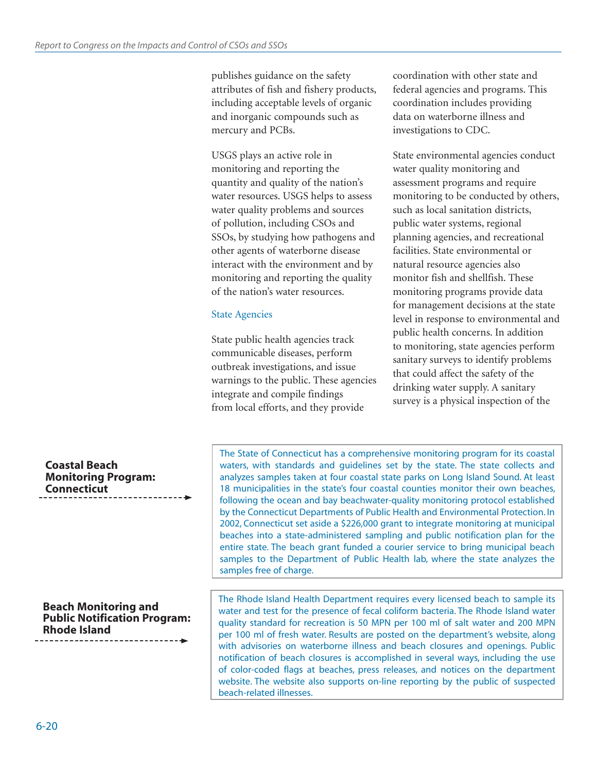publishes guidance on the safety attributes of fish and fishery products, including acceptable levels of organic and inorganic compounds such as mercury and PCBs.

USGS plays an active role in monitoring and reporting the quantity and quality of the nation's water resources. USGS helps to assess water quality problems and sources of pollution, including CSOs and SSOs, by studying how pathogens and other agents of waterborne disease interact with the environment and by monitoring and reporting the quality of the nation's water resources.

#### State Agencies

State public health agencies track communicable diseases, perform outbreak investigations, and issue warnings to the public. These agencies integrate and compile findings from local efforts, and they provide

coordination with other state and federal agencies and programs. This coordination includes providing data on waterborne illness and investigations to CDC.

State environmental agencies conduct water quality monitoring and assessment programs and require monitoring to be conducted by others, such as local sanitation districts, public water systems, regional planning agencies, and recreational facilities. State environmental or natural resource agencies also monitor fish and shellfish. These monitoring programs provide data for management decisions at the state level in response to environmental and public health concerns. In addition to monitoring, state agencies perform sanitary surveys to identify problems that could affect the safety of the drinking water supply. A sanitary survey is a physical inspection of the

#### **Coastal Beach Monitoring Program: Connecticut**

#### **Beach Monitoring and Public Notification Program: Rhode Island**

The State of Connecticut has a comprehensive monitoring program for its coastal waters, with standards and guidelines set by the state. The state collects and analyzes samples taken at four coastal state parks on Long Island Sound. At least 18 municipalities in the state's four coastal counties monitor their own beaches, following the ocean and bay beachwater-quality monitoring protocol established by the Connecticut Departments of Public Health and Environmental Protection. In 2002, Connecticut set aside a \$226,000 grant to integrate monitoring at municipal beaches into a state-administered sampling and public notification plan for the entire state. The beach grant funded a courier service to bring municipal beach samples to the Department of Public Health lab, where the state analyzes the samples free of charge.

The Rhode Island Health Department requires every licensed beach to sample its water and test for the presence of fecal coliform bacteria. The Rhode Island water quality standard for recreation is 50 MPN per 100 ml of salt water and 200 MPN per 100 ml of fresh water. Results are posted on the department's website, along with advisories on waterborne illness and beach closures and openings. Public notification of beach closures is accomplished in several ways, including the use of color-coded flags at beaches, press releases, and notices on the department website. The website also supports on-line reporting by the public of suspected beach-related illnesses.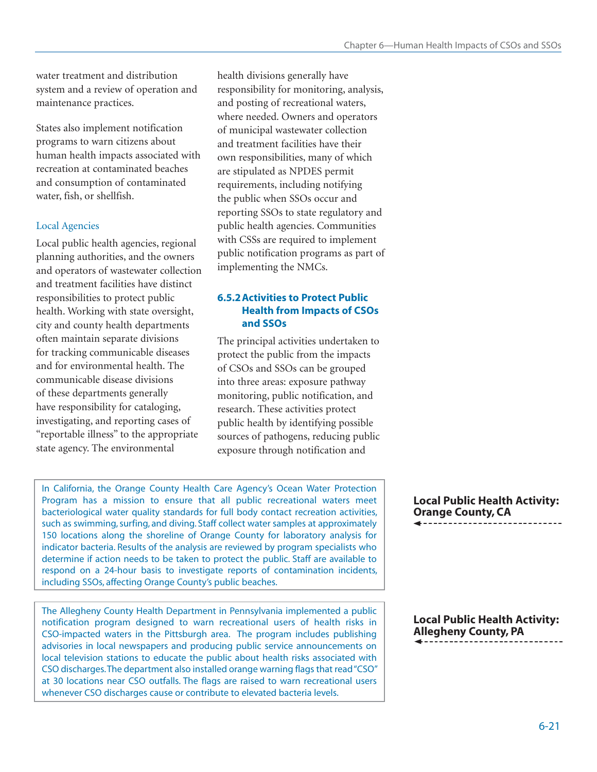water treatment and distribution system and a review of operation and maintenance practices.

States also implement notification programs to warn citizens about human health impacts associated with recreation at contaminated beaches and consumption of contaminated water, fish, or shellfish.

#### Local Agencies

Local public health agencies, regional planning authorities, and the owners and operators of wastewater collection and treatment facilities have distinct responsibilities to protect public health. Working with state oversight, city and county health departments often maintain separate divisions for tracking communicable diseases and for environmental health. The communicable disease divisions of these departments generally have responsibility for cataloging, investigating, and reporting cases of "reportable illness" to the appropriate state agency. The environmental

health divisions generally have responsibility for monitoring, analysis, and posting of recreational waters, where needed. Owners and operators of municipal wastewater collection and treatment facilities have their own responsibilities, many of which are stipulated as NPDES permit requirements, including notifying the public when SSOs occur and reporting SSOs to state regulatory and public health agencies. Communities with CSSs are required to implement public notification programs as part of implementing the NMCs.

#### **6.5.2 Activities to Protect Public Health from Impacts of CSOs and SSOs**

The principal activities undertaken to protect the public from the impacts of CSOs and SSOs can be grouped into three areas: exposure pathway monitoring, public notification, and research. These activities protect public health by identifying possible sources of pathogens, reducing public exposure through notification and

In California, the Orange County Health Care Agency's Ocean Water Protection Program has a mission to ensure that all public recreational waters meet bacteriological water quality standards for full body contact recreation activities, such as swimming, surfing, and diving. Staff collect water samples at approximately 150 locations along the shoreline of Orange County for laboratory analysis for indicator bacteria. Results of the analysis are reviewed by program specialists who determine if action needs to be taken to protect the public. Staff are available to respond on a 24-hour basis to investigate reports of contamination incidents, including SSOs, affecting Orange County's public beaches.

The Allegheny County Health Department in Pennsylvania implemented a public notification program designed to warn recreational users of health risks in CSO-impacted waters in the Pittsburgh area. The program includes publishing advisories in local newspapers and producing public service announcements on local television stations to educate the public about health risks associated with CSO discharges. The department also installed orange warning flags that read "CSO" at 30 locations near CSO outfalls. The flags are raised to warn recreational users whenever CSO discharges cause or contribute to elevated bacteria levels.

**Local Public Health Activity: Orange County, CA**

**Local Public Health Activity: Allegheny County, PA**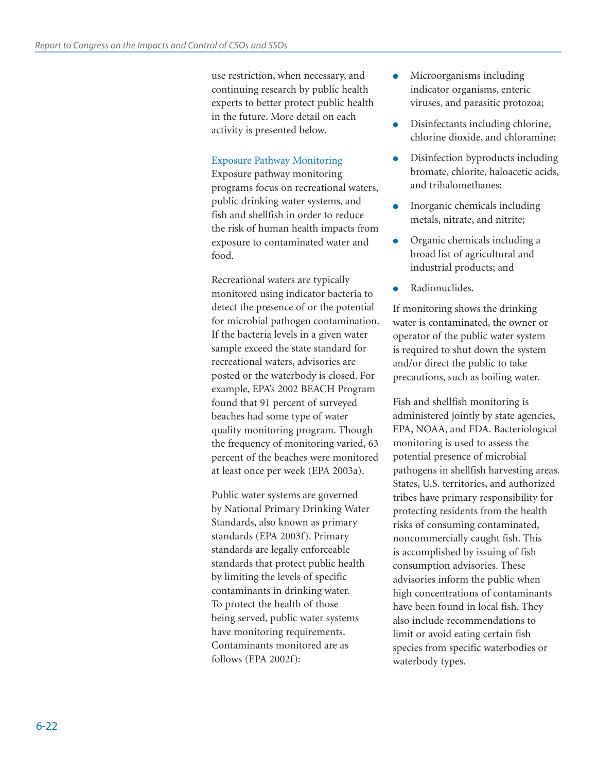use restriction, when necessary, and continuing research by public health experts to better protect public health in the future. More detail on each activity is presented below.

# Exposure Pathway Monitoring

Exposure pathway monitoring programs focus on recreational waters, public drinking water systems, and fish and shellfish in order to reduce the risk of human health impacts from exposure to contaminated water and food.

Recreational waters are typically monitored using indicator bacteria to detect the presence of or the potential for microbial pathogen contamination. If the bacteria levels in a given water sample exceed the state standard for recreational waters, advisories are posted or the waterbody is closed. For example, EPA's 2002 BEACH Program found that 91 percent of surveyed beaches had some type of water quality monitoring program. Though the frequency of monitoring varied, 63 percent of the beaches were monitored at least once per week (EPA 2003a).

Public water systems are governed by National Primary Drinking Water Standards, also known as primary standards (EPA 2003f). Primary standards are legally enforceable standards that protect public health by limiting the levels of specific contaminants in drinking water. To protect the health of those being served, public water systems have monitoring requirements. Contaminants monitored are as follows (EPA 2002f):

- Microorganisms including indicator organisms, enteric viruses, and parasitic protozoa;
- Disinfectants including chlorine, chlorine dioxide, and chloramine;
- Disinfection byproducts including bromate, chlorite, haloacetic acids, and trihalomethanes;
- Inorganic chemicals including metals, nitrate, and nitrite;
- Organic chemicals including a broad list of agricultural and industrial products; and
- Radionuclides.

If monitoring shows the drinking water is contaminated, the owner or operator of the public water system is required to shut down the system and/or direct the public to take precautions, such as boiling water.

Fish and shellfish monitoring is administered jointly by state agencies, EPA, NOAA, and FDA. Bacteriological monitoring is used to assess the potential presence of microbial pathogens in shellfish harvesting areas. States, U.S. territories, and authorized tribes have primary responsibility for protecting residents from the health risks of consuming contaminated, noncommercially caught fish. This is accomplished by issuing of fish consumption advisories. These advisories inform the public when high concentrations of contaminants have been found in local fish. They also include recommendations to limit or avoid eating certain fish species from specific waterbodies or waterbody types.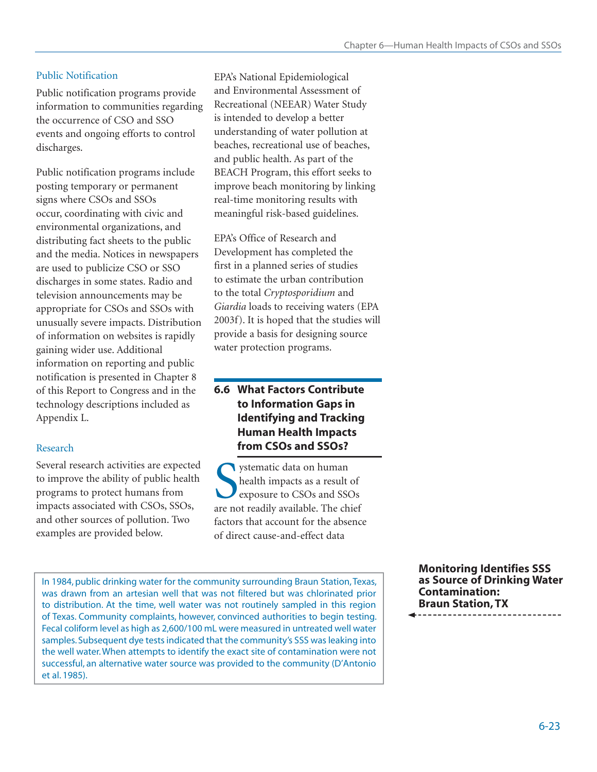## Public Notification

Public notification programs provide information to communities regarding the occurrence of CSO and SSO events and ongoing efforts to control discharges.

Public notification programs include posting temporary or permanent signs where CSOs and SSOs occur, coordinating with civic and environmental organizations, and distributing fact sheets to the public and the media. Notices in newspapers are used to publicize CSO or SSO discharges in some states. Radio and television announcements may be appropriate for CSOs and SSOs with unusually severe impacts. Distribution of information on websites is rapidly gaining wider use. Additional information on reporting and public notification is presented in Chapter 8 of this Report to Congress and in the technology descriptions included as Appendix L.

# Research

Several research activities are expected to improve the ability of public health programs to protect humans from impacts associated with CSOs, SSOs, and other sources of pollution. Two examples are provided below.

EPA's National Epidemiological and Environmental Assessment of Recreational (NEEAR) Water Study is intended to develop a better understanding of water pollution at beaches, recreational use of beaches, and public health. As part of the BEACH Program, this effort seeks to improve beach monitoring by linking real-time monitoring results with meaningful risk-based guidelines.

EPA's Office of Research and Development has completed the first in a planned series of studies to estimate the urban contribution to the total *Cryptosporidium* and *Giardia* loads to receiving waters (EPA 2003f). It is hoped that the studies will provide a basis for designing source water protection programs.

# **6.6 What Factors Contribute to Information Gaps in Identifying and Tracking Human Health Impacts from CSOs and SSOs?**

Systematic data on human<br>
health impacts as a result of<br>
exposure to CSOs and SSOs<br>
are not readily available. The chief ystematic data on human health impacts as a result of exposure to CSOs and SSOs factors that account for the absence of direct cause-and-effect data

In 1984, public drinking water for the community surrounding Braun Station, Texas, was drawn from an artesian well that was not filtered but was chlorinated prior to distribution. At the time, well water was not routinely sampled in this region of Texas. Community complaints, however, convinced authorities to begin testing. Fecal coliform level as high as 2,600/100 mL were measured in untreated well water samples. Subsequent dye tests indicated that the community's SSS was leaking into the well water. When attempts to identify the exact site of contamination were not successful, an alternative water source was provided to the community (D'Antonio et al. 1985).

**Monitoring Identifies SSS as Source of Drinking Water Contamination: Braun Station, TX**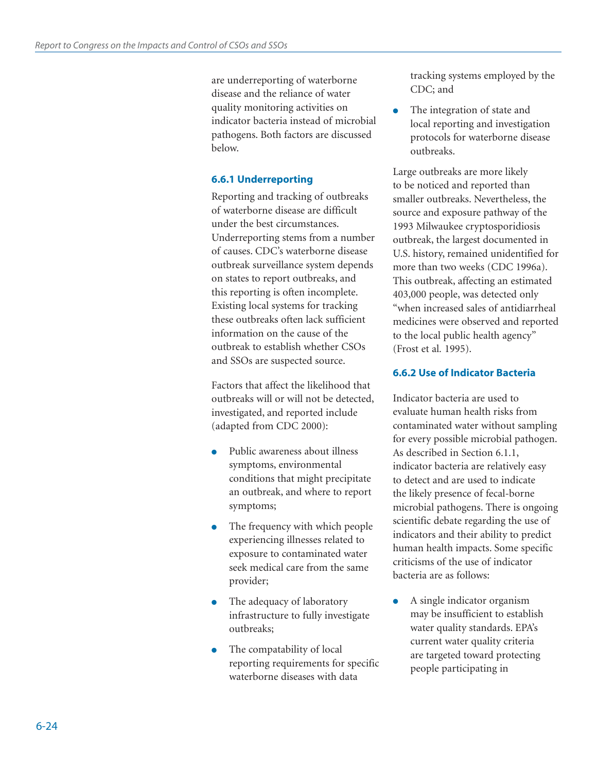are underreporting of waterborne disease and the reliance of water quality monitoring activities on indicator bacteria instead of microbial pathogens. Both factors are discussed below.

#### **6.6.1 Underreporting**

Reporting and tracking of outbreaks of waterborne disease are difficult under the best circumstances. Underreporting stems from a number of causes. CDC's waterborne disease outbreak surveillance system depends on states to report outbreaks, and this reporting is often incomplete. Existing local systems for tracking these outbreaks often lack sufficient information on the cause of the outbreak to establish whether CSOs and SSOs are suspected source.

Factors that affect the likelihood that outbreaks will or will not be detected, investigated, and reported include (adapted from CDC 2000):

- Public awareness about illness symptoms, environmental conditions that might precipitate an outbreak, and where to report symptoms;
- The frequency with which people experiencing illnesses related to exposure to contaminated water seek medical care from the same provider;
- The adequacy of laboratory infrastructure to fully investigate outbreaks;
- The compatability of local reporting requirements for specific waterborne diseases with data

tracking systems employed by the CDC; and

• The integration of state and local reporting and investigation protocols for waterborne disease outbreaks.

Large outbreaks are more likely to be noticed and reported than smaller outbreaks. Nevertheless, the source and exposure pathway of the 1993 Milwaukee cryptosporidiosis outbreak, the largest documented in U.S. history, remained unidentified for more than two weeks (CDC 1996a). This outbreak, affecting an estimated 403,000 people, was detected only "when increased sales of antidiarrheal medicines were observed and reported to the local public health agency" (Frost et al*.* 1995).

#### **6.6.2 Use of Indicator Bacteria**

Indicator bacteria are used to evaluate human health risks from contaminated water without sampling for every possible microbial pathogen. As described in Section 6.1.1, indicator bacteria are relatively easy to detect and are used to indicate the likely presence of fecal-borne microbial pathogens. There is ongoing scientific debate regarding the use of indicators and their ability to predict human health impacts. Some specific criticisms of the use of indicator bacteria are as follows:

● A single indicator organism may be insufficient to establish water quality standards. EPA's current water quality criteria are targeted toward protecting people participating in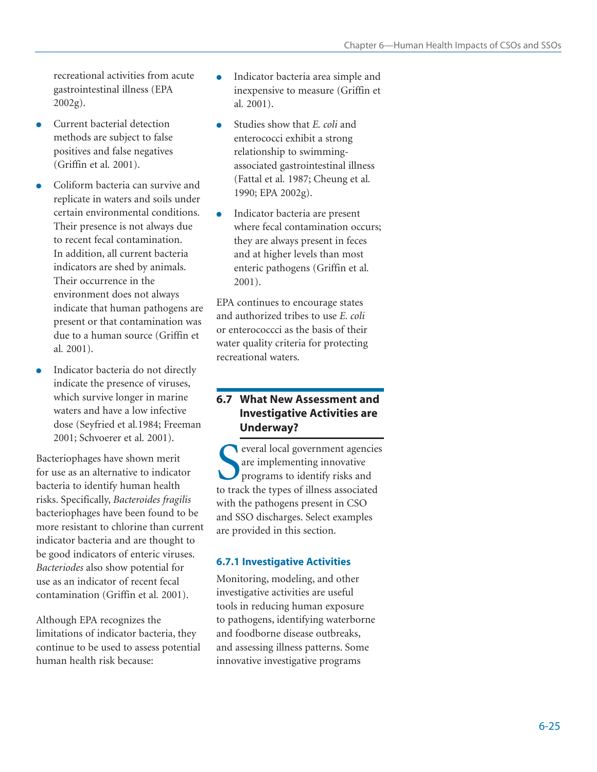recreational activities from acute gastrointestinal illness (EPA 2002g).

- Current bacterial detection methods are subject to false positives and false negatives (Griffin et al*.* 2001).
- Coliform bacteria can survive and replicate in waters and soils under certain environmental conditions. Their presence is not always due to recent fecal contamination. In addition, all current bacteria indicators are shed by animals. Their occurrence in the environment does not always indicate that human pathogens are present or that contamination was due to a human source (Griffin et al*.* 2001).
- Indicator bacteria do not directly indicate the presence of viruses, which survive longer in marine waters and have a low infective dose (Seyfried et al*.*1984; Freeman 2001; Schvoerer et al*.* 2001).

Bacteriophages have shown merit for use as an alternative to indicator bacteria to identify human health risks. Specifically, *Bacteroides fragilis*  bacteriophages have been found to be more resistant to chlorine than current indicator bacteria and are thought to be good indicators of enteric viruses. *Bacteriodes* also show potential for use as an indicator of recent fecal contamination (Griffin et al*.* 2001).

Although EPA recognizes the limitations of indicator bacteria, they continue to be used to assess potential human health risk because:

- Indicator bacteria area simple and inexpensive to measure (Griffin et al*.* 2001).
- Studies show that *E. coli* and enterococci exhibit a strong relationship to swimmingassociated gastrointestinal illness (Fattal et al*.* 1987; Cheung et al*.* 1990; EPA 2002g).
- Indicator bacteria are present where fecal contamination occurs; they are always present in feces and at higher levels than most enteric pathogens (Griffin et al*.* 2001).

EPA continues to encourage states and authorized tribes to use *E. coli*  or enterococcci as the basis of their water quality criteria for protecting recreational waters.

# **6.7 What New Assessment and Investigative Activities are Underway?**

S<br>
S<br>
S<br>
S<br>
S<br>
The implementing innovative<br>
programs to identify risks and<br>
to track the types of illness associated everal local government agencies are implementing innovative programs to identify risks and with the pathogens present in CSO and SSO discharges. Select examples are provided in this section.

# **6.7.1 Investigative Activities**

Monitoring, modeling, and other investigative activities are useful tools in reducing human exposure to pathogens, identifying waterborne and foodborne disease outbreaks, and assessing illness patterns. Some innovative investigative programs